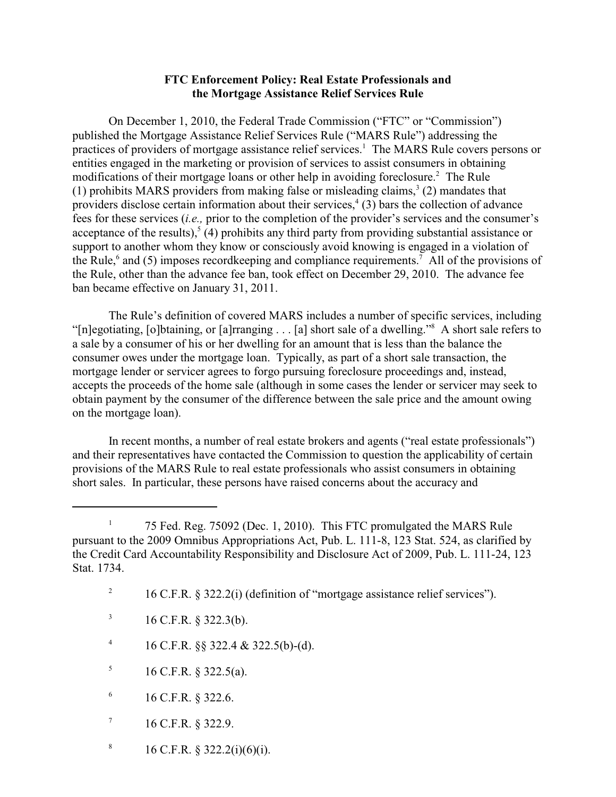## **FTC Enforcement Policy: Real Estate Professionals and the Mortgage Assistance Relief Services Rule**

On December 1, 2010, the Federal Trade Commission ("FTC" or "Commission") published the Mortgage Assistance Relief Services Rule ("MARS Rule") addressing the practices of providers of mortgage assistance relief services.<sup>1</sup> The MARS Rule covers persons or entities engaged in the marketing or provision of services to assist consumers in obtaining modifications of their mortgage loans or other help in avoiding foreclosure.<sup>2</sup> The Rule (1) prohibits MARS providers from making false or misleading claims,  $3(2)$  mandates that providers disclose certain information about their services,<sup>4</sup> (3) bars the collection of advance fees for these services (*i.e.,* prior to the completion of the provider's services and the consumer's acceptance of the results),<sup> $5$ </sup> (4) prohibits any third party from providing substantial assistance or support to another whom they know or consciously avoid knowing is engaged in a violation of the Rule,<sup>6</sup> and (5) imposes recordkeeping and compliance requirements.<sup>7</sup> All of the provisions of the Rule, other than the advance fee ban, took effect on December 29, 2010. The advance fee ban became effective on January 31, 2011.

The Rule's definition of covered MARS includes a number of specific services, including "[n]egotiating, [o]btaining, or [a]rranging . . . [a] short sale of a dwelling."<sup>8</sup> A short sale refers to a sale by a consumer of his or her dwelling for an amount that is less than the balance the consumer owes under the mortgage loan. Typically, as part of a short sale transaction, the mortgage lender or servicer agrees to forgo pursuing foreclosure proceedings and, instead, accepts the proceeds of the home sale (although in some cases the lender or servicer may seek to obtain payment by the consumer of the difference between the sale price and the amount owing on the mortgage loan).

In recent months, a number of real estate brokers and agents ("real estate professionals") and their representatives have contacted the Commission to question the applicability of certain provisions of the MARS Rule to real estate professionals who assist consumers in obtaining short sales. In particular, these persons have raised concerns about the accuracy and

- $16$  C.F.R. § 322.3(b).
- <sup>4</sup> 16 C.F.R. §§ 322.4 & 322.5(b)-(d).
- 16 C.F.R. § 322.5(a). 5
- $^{6}$  16 C.F.R. § 322.6.
- $16$  C.F.R. § 322.9.
- <sup>8</sup> 16 C.F.R. § 322.2(i)(6)(i).

<sup>&</sup>lt;sup>1</sup> 75 Fed. Reg. 75092 (Dec. 1, 2010). This FTC promulgated the MARS Rule pursuant to the 2009 Omnibus Appropriations Act, Pub. L. 111-8, 123 Stat. 524, as clarified by the Credit Card Accountability Responsibility and Disclosure Act of 2009, Pub. L. 111-24, 123 Stat. 1734.

<sup>&</sup>lt;sup>2</sup> 16 C.F.R. § 322.2(i) (definition of "mortgage assistance relief services").